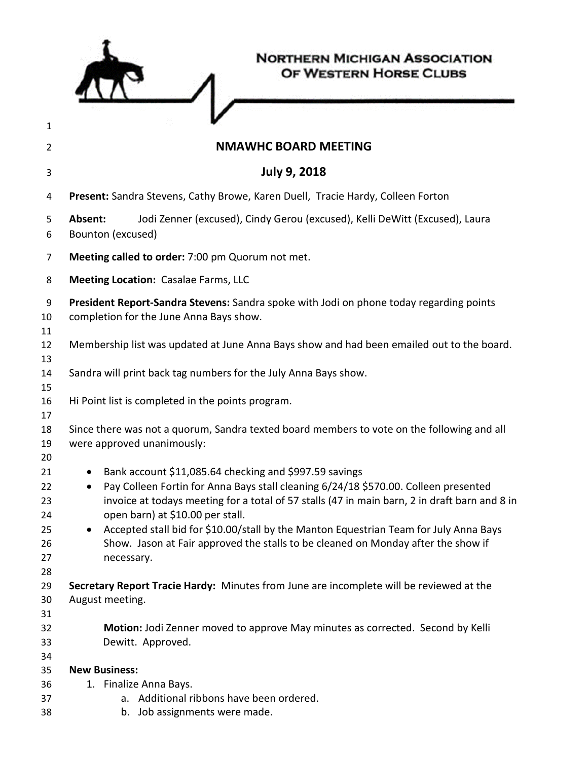| 1                    | <b>NORTHERN MICHIGAN ASSOCIATION</b><br>OF WESTERN HORSE CLUBS                                                                                                                                                                                                                     |
|----------------------|------------------------------------------------------------------------------------------------------------------------------------------------------------------------------------------------------------------------------------------------------------------------------------|
| 2                    | <b>NMAWHC BOARD MEETING</b>                                                                                                                                                                                                                                                        |
| 3                    | <b>July 9, 2018</b>                                                                                                                                                                                                                                                                |
| 4                    | Present: Sandra Stevens, Cathy Browe, Karen Duell, Tracie Hardy, Colleen Forton                                                                                                                                                                                                    |
| 5<br>6               | Absent:<br>Jodi Zenner (excused), Cindy Gerou (excused), Kelli DeWitt (Excused), Laura<br>Bounton (excused)                                                                                                                                                                        |
| 7                    | Meeting called to order: 7:00 pm Quorum not met.                                                                                                                                                                                                                                   |
| 8                    | <b>Meeting Location: Casalae Farms, LLC</b>                                                                                                                                                                                                                                        |
| 9<br>10<br>11        | President Report-Sandra Stevens: Sandra spoke with Jodi on phone today regarding points<br>completion for the June Anna Bays show.                                                                                                                                                 |
| 12<br>13             | Membership list was updated at June Anna Bays show and had been emailed out to the board.                                                                                                                                                                                          |
| 14<br>15             | Sandra will print back tag numbers for the July Anna Bays show.                                                                                                                                                                                                                    |
| 16<br>17             | Hi Point list is completed in the points program.                                                                                                                                                                                                                                  |
| 18<br>19<br>20       | Since there was not a quorum, Sandra texted board members to vote on the following and all<br>were approved unanimously:                                                                                                                                                           |
| 21<br>22<br>23<br>24 | Bank account \$11,085.64 checking and \$997.59 savings<br>Pay Colleen Fortin for Anna Bays stall cleaning 6/24/18 \$570.00. Colleen presented<br>invoice at todays meeting for a total of 57 stalls (47 in main barn, 2 in draft barn and 8 in<br>open barn) at \$10.00 per stall. |
| 25<br>26<br>27<br>28 | Accepted stall bid for \$10.00/stall by the Manton Equestrian Team for July Anna Bays<br>Show. Jason at Fair approved the stalls to be cleaned on Monday after the show if<br>necessary.                                                                                           |
| 29<br>30<br>31       | Secretary Report Tracie Hardy: Minutes from June are incomplete will be reviewed at the<br>August meeting.                                                                                                                                                                         |
| 32<br>33<br>34       | Motion: Jodi Zenner moved to approve May minutes as corrected. Second by Kelli<br>Dewitt. Approved.                                                                                                                                                                                |
| 35                   | <b>New Business:</b>                                                                                                                                                                                                                                                               |
| 36<br>37             | 1. Finalize Anna Bays.<br>Additional ribbons have been ordered.                                                                                                                                                                                                                    |
| 38                   | Job assignments were made.<br>b.                                                                                                                                                                                                                                                   |